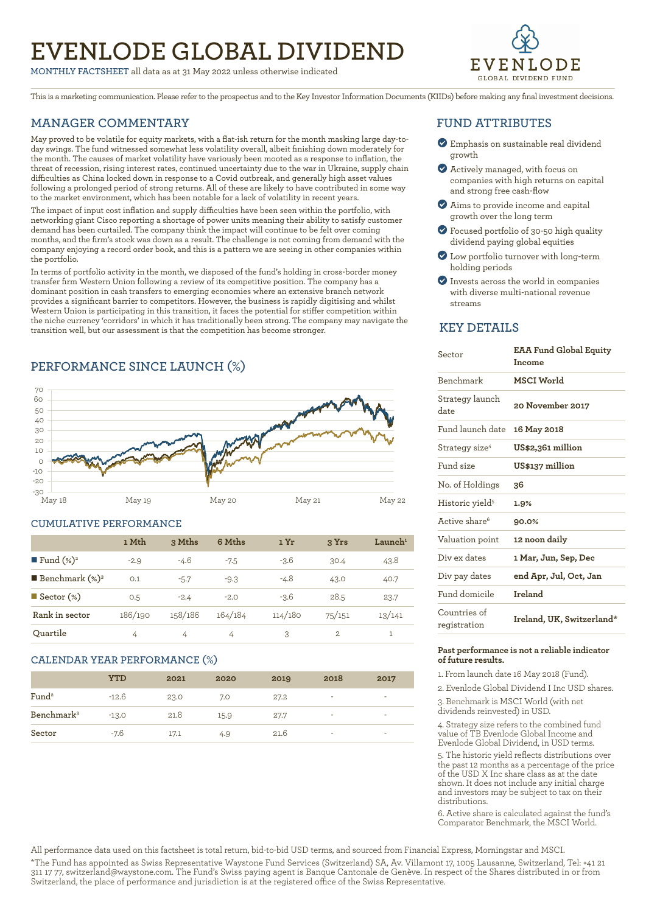# **EVENLODE GLOBAL DIVIDEND**

**MONTHLY FACTSHEET** all data as at 31 May 2022 unless otherwise indicated



This is a marketing communication. Please refer to the prospectus and to the Key Investor Information Documents (KIIDs) before making any final investment decisions.

### **MANAGER COMMENTARY**

May proved to be volatile for equity markets, with a flat-ish return for the month masking large day-today swings. The fund witnessed somewhat less volatility overall, albeit finishing down moderately for the month. The causes of market volatility have variously been mooted as a response to inflation, the threat of recession, rising interest rates, continued uncertainty due to the war in Ukraine, supply chain difficulties as China locked down in response to a Covid outbreak, and generally high asset values following a prolonged period of strong returns. All of these are likely to have contributed in some way to the market environment, which has been notable for a lack of volatility in recent years.

The impact of input cost inflation and supply difficulties have been seen within the portfolio, with networking giant Cisco reporting a shortage of power units meaning their ability to satisfy customer demand has been curtailed. The company think the impact will continue to be felt over coming months, and the firm's stock was down as a result. The challenge is not coming from demand with the company enjoying a record order book, and this is a pattern we are seeing in other companies within the portfolio.

In terms of portfolio activity in the month, we disposed of the fund's holding in cross-border money transfer firm Western Union following a review of its competitive position. The company has a dominant position in cash transfers to emerging economies where an extensive branch network provides a significant barrier to competitors. However, the business is rapidly digitising and whilst Western Union is participating in this transition, it faces the potential for stiffer competition within the niche currency 'corridors' in which it has traditionally been strong. The company may navigate the transition well, but our assessment is that the competition has become stronger.

### **PERFORMANCE SINCE LAUNCH (%)**



### **CUMULATIVE PERFORMANCE**

|                              | 1 Mth   | 3 Mths  | 6 Mths  | 1 Yr    | 3 Yrs  | $L$ aunch <sup>1</sup> |
|------------------------------|---------|---------|---------|---------|--------|------------------------|
| ■ Fund $(\%)^2$              | $-2.9$  | -4.6    | $-7.5$  | $-3.6$  | 30.4   | 43.8                   |
| <b>Benchmark</b> $(\%)^3$    | 0.1     | $-5.7$  | $-9.3$  | $-4.8$  | 43.0   | 40.7                   |
| $\blacksquare$ Sector $(\%)$ | 0.5     | $-2.4$  | $-2.0$  | $-3.6$  | 28.5   | 23.7                   |
| Rank in sector               | 186/190 | 158/186 | 164/184 | 114/180 | 75/151 | 13/141                 |
| Ouartile                     | 4       | 4       | 4       | 3       | 2      | 1                      |

### **CALENDAR YEAR PERFORMANCE (%)**

|                        | <b>YTD</b> | 2021 | 2020 | 2019 | 2018                     | 2017                     |
|------------------------|------------|------|------|------|--------------------------|--------------------------|
| Fund <sup>2</sup>      | $-12.6$    | 23.0 | 7.0  | 27.2 | $\overline{\phantom{a}}$ | $\overline{\phantom{a}}$ |
| Benchmark <sup>3</sup> | $-13.0$    | 21.8 | 15.9 | 27.7 | $\overline{\phantom{a}}$ | $\overline{\phantom{a}}$ |
| Sector                 | -7.6       | 17.1 | 4.9  | 21.6 | $\overline{\phantom{a}}$ | $\overline{\phantom{a}}$ |

### **FUND ATTRIBUTES**

- ? Emphasis on sustainable real dividend growth
- ? Actively managed, with focus on companies with high returns on capital and strong free cash-flow
- ? Aims to provide income and capital growth over the long term
- ? Focused portfolio of 30-50 high quality dividend paying global equities
- ? Low portfolio turnover with long-term holding periods
- ? Invests across the world in companies with diverse multi-national revenue streams

### **KEY DETAILS**

| Sector                       | <b>EAA Fund Global Equity</b><br>Income |
|------------------------------|-----------------------------------------|
| <b>Benchmark</b>             | MSCI World                              |
| Strategy launch<br>date      | 20 November 2017                        |
| Fund launch date             | 16 May 2018                             |
| Strategy size <sup>4</sup>   | US\$2,361 million                       |
| Fund size                    | US\$137 million                         |
| No. of Holdings              | 36                                      |
| Historic yield <sup>5</sup>  | 1.9%                                    |
| Active share <sup>6</sup>    | 90.0%                                   |
| Valuation point              | 12 noon daily                           |
| Div ex dates                 | 1 Mar, Jun, Sep, Dec                    |
| Div pay dates                | end Apr, Jul, Oct, Jan                  |
| Fund domicile                | Ireland                                 |
| Countries of<br>registration | Ireland, UK, Switzerland*               |

### **Past performance is not a reliable indicator of future results.**

1. From launch date 16 May 2018 (Fund).

2. Evenlode Global Dividend I Inc USD shares.

3. Benchmark is MSCI World (with net dividends reinvested) in USD.

4. Strategy size refers to the combined fund value of TB Evenlode Global Income and Evenlode Global Dividend, in USD terms.

5. The historic yield reflects distributions over the past 12 months as a percentage of the price of the USD X Inc share class as at the date shown. It does not include any initial charge and investors may be subject to tax on their distributions.

6. Active share is calculated against the fund's Comparator Benchmark, the MSCI World.

All performance data used on this factsheet is total return, bid-to-bid USD terms, and sourced from Financial Express, Morningstar and MSCI.

\*The Fund has appointed as Swiss Representative Waystone Fund Services (Switzerland) SA, Av. Villamont 17, 1005 Lausanne, Switzerland, Tel: +41 21 311 17 77, switzerland@waystone.com. The Fund's Swiss paying agent is Banque Cantonale de Genève. In respect of the Shares distributed in or from Switzerland, the place of performance and jurisdiction is at the registered office of the Swiss Representative.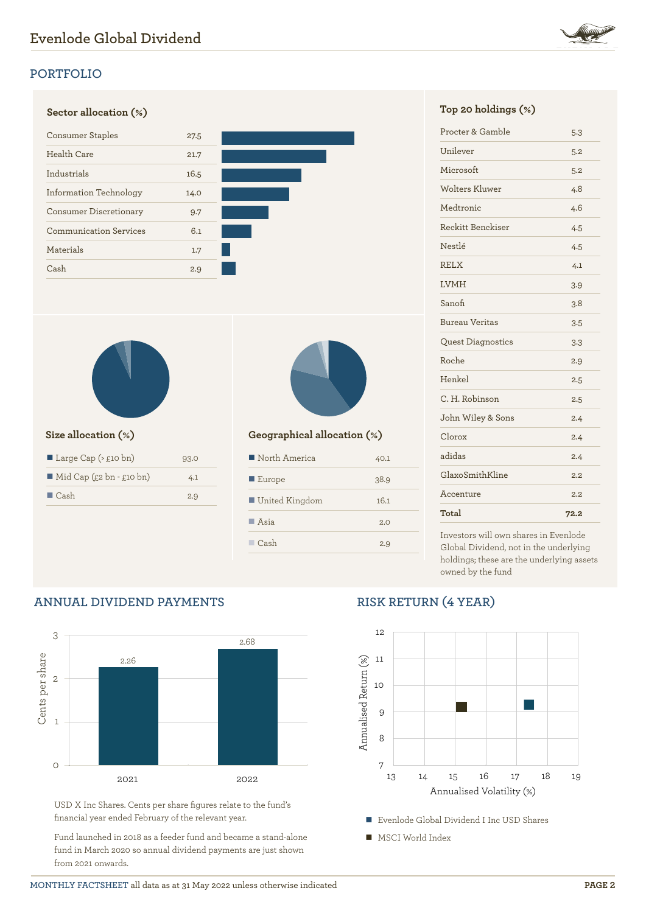

# **Sector allocation (%) Top 20 holdings (%)** Consumer Staples 27.5 Health Care 21.7 Industrials 16.5 Information Technology 14.0 Consumer Discretionary 9.7 Communication Services 6.1 Materials 1.7 Cash 2.9



| Large Cap $($ \ $£10 \text{ bn}$ )      | 93.0 |
|-----------------------------------------|------|
| $\blacksquare$ Mid Cap (£2 bn - £10 bn) | 4.1  |
| $\Box$ Cash                             | 2.9  |



### **Size allocation (%) Geographical allocation (%)**

| North America         | 40.1 |
|-----------------------|------|
| $\blacksquare$ Europe | 38.9 |
| United Kingdom        | 16.1 |
| $\blacksquare$ Asia   | 2.0  |
| $\Box$ Cash           | 2.9  |

| Procter & Gamble      | 5.3  |
|-----------------------|------|
| Unilever              | 5.2  |
| Microsoft             | 5.2  |
| Wolters Kluwer        | 4.8  |
| Medtronic             | 4.6  |
| Reckitt Benckiser     | 4.5  |
| Nestlé                | 4.5  |
| <b>RELX</b>           | 4.1  |
| <b>LVMH</b>           | 3.9  |
| Sanofi                | 3.8  |
| <b>Bureau Veritas</b> | 3.5  |
| Quest Diagnostics     | 3.3  |
| Roche                 | 2.9  |
| Henkel                | 2.5  |
| C. H. Robinson        | 2.5  |
| John Wiley & Sons     | 2.4  |
| Clorox                | 2.4  |
| adidas                | 2.4  |
| GlaxoSmithKline       | 2.2  |
| Accenture             | 2.2  |
| Total                 | 72.2 |

Investors will own shares in Evenlode Global Dividend, not in the underlying holdings; these are the underlying assets owned by the fund

# **ANNUAL DIVIDEND PAYMENTS**



USD X Inc Shares. Cents per share figures relate to the fund's financial year ended February of the relevant year.

Fund launched in 2018 as a feeder fund and became a stand-alone fund in March 2020 so annual dividend payments are just shown from 2021 onwards.

# **RISK RETURN (4 YEAR)**



■ MSCI World Index

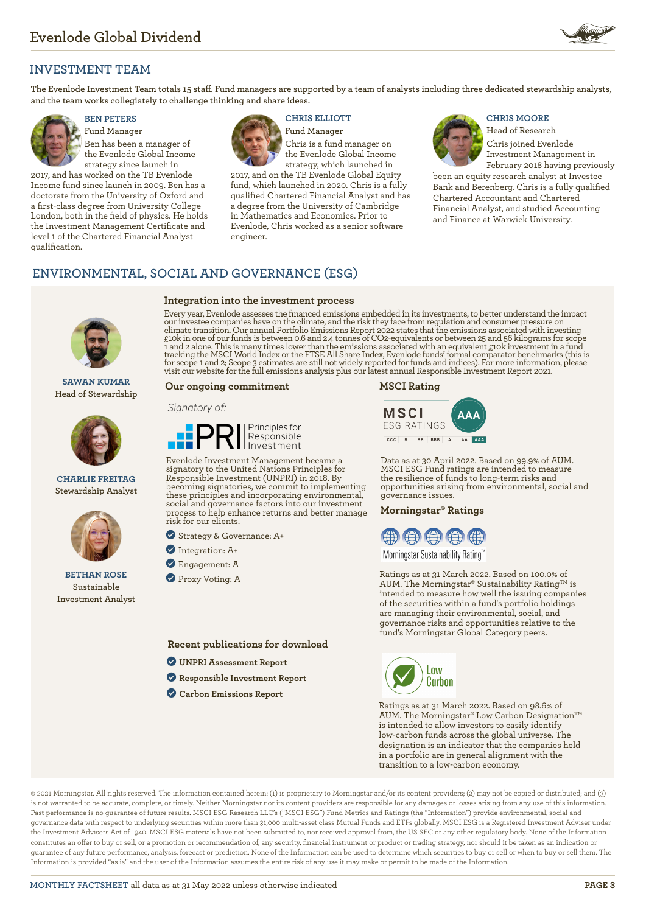

### **INVESTMENT TEAM**

**The Evenlode Investment Team totals 15 staff. Fund managers are supported by a team of analysts including three dedicated stewardship analysts, and the team works collegiately to challenge thinking and share ideas.**



**Fund Manager** Ben has been a manager of the Evenlode Global Income strategy since launch in

2017, and has worked on the TB Evenlode Income fund since launch in 2009. Ben has a doctorate from the University of Oxford and a first-class degree from University College London, both in the field of physics. He holds the Investment Management Certificate and level 1 of the Chartered Financial Analyst qualification.



## **BEN PETERS CHRIS ELLIOTT CHRIS MOORE**

**Fund Manager** Chris is a fund manager on the Evenlode Global Income strategy, which launched in

2017, and on the TB Evenlode Global Equity fund, which launched in 2020. Chris is a fully qualified Chartered Financial Analyst and has a degree from the University of Cambridge in Mathematics and Economics. Prior to Evenlode, Chris worked as a senior software engineer.



**Head of Research** Chris joined Evenlode Investment Management in

February 2018 having previously been an equity research analyst at Investec Bank and Berenberg. Chris is a fully qualified Chartered Accountant and Chartered Financial Analyst, and studied Accounting and Finance at Warwick University.

### **ENVIRONMENTAL, SOCIAL AND GOVERNANCE (ESG)**

# **Integration into the investment process**

**SAWAN KUMAR Head of Stewardship**



### **CHARLIE FREITAG Stewardship Analyst**



**BETHAN ROSE Sustainable Investment Analyst**

Every year, Evenlode assesses the financed emissions embedded in its investments, to better understand the impact our investee companies have on the climate, and the risk they face from regulation and consumer pressure on climate transition. Our annual Portfolio Emissions Report 2022 states that the emissions associated with investing<br>£10k in one of our funds is between 0.6 and 2.4 tonnes of CO2-equivalents or between 25 and 56 kilograms fo

### **Our ongoing commitment**

### Signatory of:



Evenlode Investment Management became a signatory to the United Nations Principles for Responsible Investment (UNPRI) in 2018. By becoming signatories, we commit to implementing these principles and incorporating environmental, social and governance factors into our investment process to help enhance returns and better manage risk for our clients.

? Strategy & Governance: A+

- ? Integration: A+
- ? Engagement: A
- **Proxy Voting: A**

**Recent publications for download**

- ? **[UNPRI Assessment Report](https://evenlodeinvestment.com/resources/stewardship-assets/2020-Assessment-Report.pdf)**
- ? **[Responsible Investment Report](https://evenlodeinvestment.com/resources/stewardship-assets/Evenlode-Investment-Annual-Responsible-Investment-Report-2021.pdf)**
- ? **[Carbon Emissions Report](https://evenlodeinvestment.com/resources/stewardship-assets/Evenlode-Portfolio-Emissions-Report-2022.pdf)**





Data as at 30 April 2022. Based on 99.9% of AUM. MSCI ESG Fund ratings are intended to measure the resilience of funds to long-term risks and opportunities arising from environmental, social and governance issues.

### **Morningstar® Ratings**



Morningstar Sustainability Rating™

Ratings as at 31 March 2022. Based on 100.0% of AUM. The Morningstar® Sustainability Rating<sup>TM</sup> is intended to measure how well the issuing companies of the securities within a fund's portfolio holdings are managing their environmental, social, and governance risks and opportunities relative to the fund's Morningstar Global Category peers.



Ratings as at 31 March 2022. Based on 98.6% of AUM. The Morningstar® Low Carbon Designation™ is intended to allow investors to easily identify low-carbon funds across the global universe. The designation is an indicator that the companies held in a portfolio are in general alignment with the transition to a low-carbon economy.

© 2021 Morningstar. All rights reserved. The information contained herein: (1) is proprietary to Morningstar and/or its content providers; (2) may not be copied or distributed; and (3) is not warranted to be accurate, complete, or timely. Neither Morningstar nor its content providers are responsible for any damages or losses arising from any use of this information. Past performance is no guarantee of future results. MSCI ESG Research LLC's ("MSCI ESG") Fund Metrics and Ratings (the "Information") provide environmental, social and governance data with respect to underlying securities within more than 31,000 multi-asset class Mutual Funds and ETFs globally. MSCI ESG is a Registered Investment Adviser under the Investment Advisers Act of 1940. MSCI ESG materials have not been submitted to, nor received approval from, the US SEC or any other regulatory body. None of the Information constitutes an offer to buy or sell, or a promotion or recommendation of, any security, financial instrument or product or trading strategy, nor should it be taken as an indication or guarantee of any future performance, analysis, forecast or prediction. None of the Information can be used to determine which securities to buy or sell or when to buy or sell them. The Information is provided "as is" and the user of the Information assumes the entire risk of any use it may make or permit to be made of the Information.